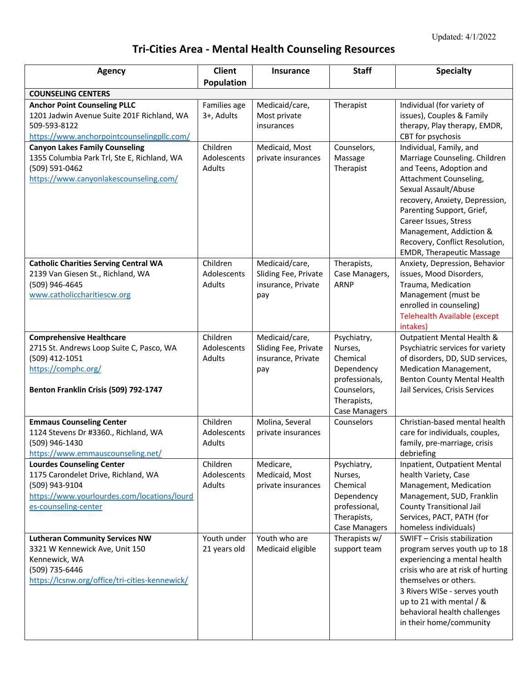## **Tri-Cities Area - Mental Health Counseling Resources**

| <b>Agency</b>                                                                                                                                                    | <b>Client</b>                     | <b>Insurance</b>                                                    | <b>Staff</b>                                                                                                             | <b>Specialty</b>                                                                                                                                                                                                                                                                                    |
|------------------------------------------------------------------------------------------------------------------------------------------------------------------|-----------------------------------|---------------------------------------------------------------------|--------------------------------------------------------------------------------------------------------------------------|-----------------------------------------------------------------------------------------------------------------------------------------------------------------------------------------------------------------------------------------------------------------------------------------------------|
|                                                                                                                                                                  | Population                        |                                                                     |                                                                                                                          |                                                                                                                                                                                                                                                                                                     |
| <b>COUNSELING CENTERS</b><br><b>Anchor Point Counseling PLLC</b>                                                                                                 | Families age                      | Medicaid/care,                                                      | Therapist                                                                                                                | Individual (for variety of                                                                                                                                                                                                                                                                          |
| 1201 Jadwin Avenue Suite 201F Richland, WA<br>509-593-8122<br>https://www.anchorpointcounselingpllc.com/                                                         | 3+, Adults                        | Most private<br>insurances                                          |                                                                                                                          | issues), Couples & Family<br>therapy, Play therapy, EMDR,<br>CBT for psychosis                                                                                                                                                                                                                      |
| <b>Canyon Lakes Family Counseling</b>                                                                                                                            | Children                          | Medicaid, Most                                                      | Counselors,                                                                                                              | Individual, Family, and                                                                                                                                                                                                                                                                             |
| 1355 Columbia Park Trl, Ste E, Richland, WA<br>(509) 591-0462<br>https://www.canyonlakescounseling.com/                                                          | Adolescents<br>Adults             | private insurances                                                  | Massage<br>Therapist                                                                                                     | Marriage Counseling. Children<br>and Teens, Adoption and<br>Attachment Counseling,<br>Sexual Assault/Abuse<br>recovery, Anxiety, Depression,<br>Parenting Support, Grief,<br>Career Issues, Stress<br>Management, Addiction &<br>Recovery, Conflict Resolution,<br><b>EMDR, Therapeutic Massage</b> |
| <b>Catholic Charities Serving Central WA</b><br>2139 Van Giesen St., Richland, WA<br>(509) 946-4645<br>www.catholiccharitiescw.org                               | Children<br>Adolescents<br>Adults | Medicaid/care,<br>Sliding Fee, Private<br>insurance, Private<br>pay | Therapists,<br>Case Managers,<br><b>ARNP</b>                                                                             | Anxiety, Depression, Behavior<br>issues, Mood Disorders,<br>Trauma, Medication<br>Management (must be<br>enrolled in counseling)<br><b>Telehealth Available (except</b><br>intakes)                                                                                                                 |
| <b>Comprehensive Healthcare</b><br>2715 St. Andrews Loop Suite C, Pasco, WA<br>(509) 412-1051<br>https://comphc.org/<br>Benton Franklin Crisis (509) 792-1747    | Children<br>Adolescents<br>Adults | Medicaid/care,<br>Sliding Fee, Private<br>insurance, Private<br>pay | Psychiatry,<br>Nurses,<br>Chemical<br>Dependency<br>professionals,<br>Counselors,<br>Therapists,<br><b>Case Managers</b> | Outpatient Mental Health &<br>Psychiatric services for variety<br>of disorders, DD, SUD services,<br>Medication Management,<br><b>Benton County Mental Health</b><br>Jail Services, Crisis Services                                                                                                 |
| <b>Emmaus Counseling Center</b><br>1124 Stevens Dr #3360., Richland, WA<br>(509) 946-1430<br>https://www.emmauscounseling.net/                                   | Children<br>Adolescents<br>Adults | Molina, Several<br>private insurances                               | Counselors                                                                                                               | Christian-based mental health<br>care for individuals, couples,<br>family, pre-marriage, crisis<br>debriefing                                                                                                                                                                                       |
| <b>Lourdes Counseling Center</b><br>1175 Carondelet Drive, Richland, WA<br>(509) 943-9104<br>https://www.yourlourdes.com/locations/lourd<br>es-counseling-center | Children<br>Adolescents<br>Adults | Medicare,<br>Medicaid, Most<br>private insurances                   | Psychiatry,<br>Nurses,<br>Chemical<br>Dependency<br>professional,<br>Therapists,<br><b>Case Managers</b>                 | Inpatient, Outpatient Mental<br>health Variety, Case<br>Management, Medication<br>Management, SUD, Franklin<br><b>County Transitional Jail</b><br>Services, PACT, PATH (for<br>homeless individuals)                                                                                                |
| <b>Lutheran Community Services NW</b><br>3321 W Kennewick Ave, Unit 150<br>Kennewick, WA<br>(509) 735-6446<br>https://lcsnw.org/office/tri-cities-kennewick/     | Youth under<br>21 years old       | Youth who are<br>Medicaid eligible                                  | Therapists w/<br>support team                                                                                            | SWIFT - Crisis stabilization<br>program serves youth up to 18<br>experiencing a mental health<br>crisis who are at risk of hurting<br>themselves or others.<br>3 Rivers WISe - serves youth<br>up to 21 with mental / &<br>behavioral health challenges<br>in their home/community                  |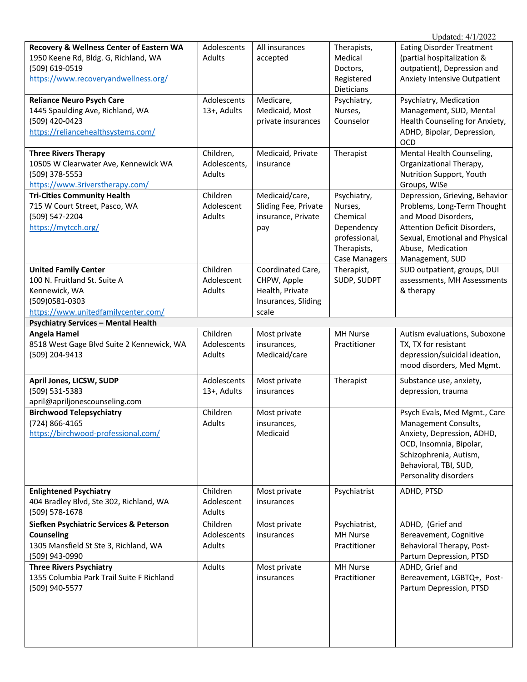| Updated: 4/1/2022 |  |
|-------------------|--|
|                   |  |

| Recovery & Wellness Center of Eastern WA<br>1950 Keene Rd, Bldg. G, Richland, WA<br>(509) 619-0519<br>https://www.recoveryandwellness.org/ | Adolescents<br>Adults               | All insurances<br>accepted                                                          | Therapists,<br>Medical<br>Doctors,<br>Registered<br>Dieticians                                           | <b>Eating Disorder Treatment</b><br>(partial hospitalization &<br>outpatient), Depression and<br><b>Anxiety Intensive Outpatient</b>                                                           |
|--------------------------------------------------------------------------------------------------------------------------------------------|-------------------------------------|-------------------------------------------------------------------------------------|----------------------------------------------------------------------------------------------------------|------------------------------------------------------------------------------------------------------------------------------------------------------------------------------------------------|
| <b>Reliance Neuro Psych Care</b><br>1445 Spaulding Ave, Richland, WA<br>(509) 420-0423<br>https://reliancehealthsystems.com/               | Adolescents<br>13+, Adults          | Medicare,<br>Medicaid, Most<br>private insurances                                   | Psychiatry,<br>Nurses,<br>Counselor                                                                      | Psychiatry, Medication<br>Management, SUD, Mental<br>Health Counseling for Anxiety,<br>ADHD, Bipolar, Depression,<br>OCD                                                                       |
| <b>Three Rivers Therapy</b><br>10505 W Clearwater Ave, Kennewick WA<br>(509) 378-5553<br>https://www.3riverstherapy.com/                   | Children,<br>Adolescents,<br>Adults | Medicaid, Private<br>insurance                                                      | Therapist                                                                                                | Mental Health Counseling,<br>Organizational Therapy,<br>Nutrition Support, Youth<br>Groups, WISe                                                                                               |
| <b>Tri-Cities Community Health</b><br>715 W Court Street, Pasco, WA<br>(509) 547-2204<br>https://mytcch.org/                               | Children<br>Adolescent<br>Adults    | Medicaid/care,<br>Sliding Fee, Private<br>insurance, Private<br>pay                 | Psychiatry,<br>Nurses,<br>Chemical<br>Dependency<br>professional,<br>Therapists,<br><b>Case Managers</b> | Depression, Grieving, Behavior<br>Problems, Long-Term Thought<br>and Mood Disorders,<br>Attention Deficit Disorders,<br>Sexual, Emotional and Physical<br>Abuse, Medication<br>Management, SUD |
| <b>United Family Center</b><br>100 N. Fruitland St. Suite A<br>Kennewick, WA<br>(509)0581-0303<br>https://www.unitedfamilycenter.com/      | Children<br>Adolescent<br>Adults    | Coordinated Care,<br>CHPW, Apple<br>Health, Private<br>Insurances, Sliding<br>scale | Therapist,<br>SUDP, SUDPT                                                                                | SUD outpatient, groups, DUI<br>assessments, MH Assessments<br>& therapy                                                                                                                        |
| <b>Psychiatry Services - Mental Health</b>                                                                                                 |                                     |                                                                                     |                                                                                                          |                                                                                                                                                                                                |
| <b>Angela Hamel</b><br>8518 West Gage Blvd Suite 2 Kennewick, WA<br>(509) 204-9413                                                         | Children<br>Adolescents<br>Adults   | Most private<br>insurances,<br>Medicaid/care                                        | MH Nurse<br>Practitioner                                                                                 | Autism evaluations, Suboxone<br>TX, TX for resistant<br>depression/suicidal ideation,<br>mood disorders, Med Mgmt.                                                                             |
| April Jones, LICSW, SUDP<br>(509) 531-5383<br>april@apriljonescounseling.com                                                               | Adolescents<br>13+, Adults          | Most private<br>insurances                                                          | Therapist                                                                                                | Substance use, anxiety,<br>depression, trauma                                                                                                                                                  |
| <b>Birchwood Telepsychiatry</b><br>(724) 866-4165<br>https://birchwood-professional.com/                                                   | Children<br>Adults                  | Most private<br>insurances,<br>Medicaid                                             |                                                                                                          | Psych Evals, Med Mgmt., Care<br>Management Consults,<br>Anxiety, Depression, ADHD,<br>OCD, Insomnia, Bipolar,<br>Schizophrenia, Autism,<br>Behavioral, TBI, SUD,<br>Personality disorders      |
| <b>Enlightened Psychiatry</b><br>404 Bradley Blvd, Ste 302, Richland, WA<br>(509) 578-1678                                                 | Children<br>Adolescent<br>Adults    | Most private<br>insurances                                                          | Psychiatrist                                                                                             | ADHD, PTSD                                                                                                                                                                                     |
| Siefken Psychiatric Services & Peterson<br>Counseling<br>1305 Mansfield St Ste 3, Richland, WA<br>(509) 943-0990                           | Children<br>Adolescents<br>Adults   | Most private<br>insurances                                                          | Psychiatrist,<br><b>MH Nurse</b><br>Practitioner                                                         | ADHD, (Grief and<br>Bereavement, Cognitive<br>Behavioral Therapy, Post-<br>Partum Depression, PTSD                                                                                             |
| <b>Three Rivers Psychiatry</b><br>1355 Columbia Park Trail Suite F Richland<br>(509) 940-5577                                              | Adults                              | Most private<br>insurances                                                          | MH Nurse<br>Practitioner                                                                                 | ADHD, Grief and<br>Bereavement, LGBTQ+, Post-<br>Partum Depression, PTSD                                                                                                                       |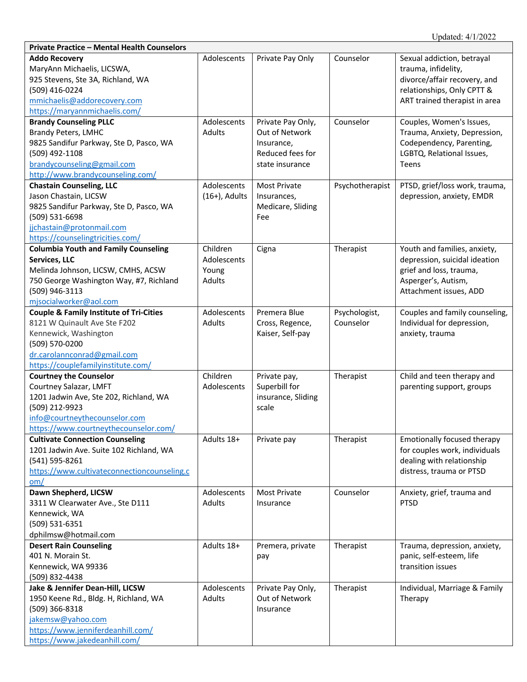| <b>Private Practice - Mental Health Counselors</b>                                                                                                                                                 |                                                   |                                                                                          |                            |                                                                                                                                                  |
|----------------------------------------------------------------------------------------------------------------------------------------------------------------------------------------------------|---------------------------------------------------|------------------------------------------------------------------------------------------|----------------------------|--------------------------------------------------------------------------------------------------------------------------------------------------|
| <b>Addo Recovery</b><br>MaryAnn Michaelis, LICSWA,<br>925 Stevens, Ste 3A, Richland, WA<br>(509) 416-0224<br>mmichaelis@addorecovery.com<br>https://maryannmichaelis.com/                          | Adolescents                                       | Private Pay Only                                                                         | Counselor                  | Sexual addiction, betrayal<br>trauma, infidelity,<br>divorce/affair recovery, and<br>relationships, Only CPTT &<br>ART trained therapist in area |
| <b>Brandy Counseling PLLC</b><br><b>Brandy Peters, LMHC</b><br>9825 Sandifur Parkway, Ste D, Pasco, WA<br>(509) 492-1108<br>brandycounseling@gmail.com<br>http://www.brandycounseling.com/         | Adolescents<br><b>Adults</b>                      | Private Pay Only,<br>Out of Network<br>Insurance,<br>Reduced fees for<br>state insurance | Counselor                  | Couples, Women's Issues,<br>Trauma, Anxiety, Depression,<br>Codependency, Parenting,<br>LGBTQ, Relational Issues,<br>Teens                       |
| <b>Chastain Counseling, LLC</b><br>Jason Chastain, LICSW<br>9825 Sandifur Parkway, Ste D, Pasco, WA<br>(509) 531-6698<br>jjchastain@protonmail.com<br>https://counselingtricities.com/             | Adolescents<br>$(16+)$ , Adults                   | <b>Most Private</b><br>Insurances,<br>Medicare, Sliding<br>Fee                           | Psychotherapist            | PTSD, grief/loss work, trauma,<br>depression, anxiety, EMDR                                                                                      |
| <b>Columbia Youth and Family Counseling</b><br>Services, LLC<br>Melinda Johnson, LICSW, CMHS, ACSW<br>750 George Washington Way, #7, Richland<br>(509) 946-3113<br>mjsocialworker@aol.com          | Children<br>Adolescents<br>Young<br><b>Adults</b> | Cigna                                                                                    | Therapist                  | Youth and families, anxiety,<br>depression, suicidal ideation<br>grief and loss, trauma,<br>Asperger's, Autism,<br>Attachment issues, ADD        |
| <b>Couple &amp; Family Institute of Tri-Cities</b><br>8121 W Quinault Ave Ste F202<br>Kennewick, Washington<br>(509) 570-0200<br>dr.carolannconrad@gmail.com<br>https://couplefamilyinstitute.com/ | Adolescents<br>Adults                             | Premera Blue<br>Cross, Regence,<br>Kaiser, Self-pay                                      | Psychologist,<br>Counselor | Couples and family counseling,<br>Individual for depression,<br>anxiety, trauma                                                                  |
| <b>Courtney the Counselor</b><br>Courtney Salazar, LMFT<br>1201 Jadwin Ave, Ste 202, Richland, WA<br>(509) 212-9923<br>info@courtneythecounselor.com<br>https://www.courtneythecounselor.com/      | Children<br>Adolescents                           | Private pay,<br>Superbill for<br>insurance, Sliding<br>scale                             | Therapist                  | Child and teen therapy and<br>parenting support, groups                                                                                          |
| <b>Cultivate Connection Counseling</b><br>1201 Jadwin Ave. Suite 102 Richland, WA<br>(541) 595-8261<br>https://www.cultivateconnectioncounseling.c<br>om/                                          | Adults 18+                                        | Private pay                                                                              | Therapist                  | Emotionally focused therapy<br>for couples work, individuals<br>dealing with relationship<br>distress, trauma or PTSD                            |
| Dawn Shepherd, LICSW<br>3311 W Clearwater Ave., Ste D111<br>Kennewick, WA<br>(509) 531-6351<br>dphilmsw@hotmail.com                                                                                | Adolescents<br>Adults                             | <b>Most Private</b><br>Insurance                                                         | Counselor                  | Anxiety, grief, trauma and<br><b>PTSD</b>                                                                                                        |
| <b>Desert Rain Counseling</b><br>401 N. Morain St.<br>Kennewick, WA 99336<br>(509) 832-4438                                                                                                        | Adults 18+                                        | Premera, private<br>pay                                                                  | Therapist                  | Trauma, depression, anxiety,<br>panic, self-esteem, life<br>transition issues                                                                    |
| Jake & Jennifer Dean-Hill, LICSW<br>1950 Keene Rd., Bldg. H, Richland, WA<br>(509) 366-8318<br>jakemsw@yahoo.com<br>https://www.jenniferdeanhill.com/<br>https://www.jakedeanhill.com/             | Adolescents<br>Adults                             | Private Pay Only,<br>Out of Network<br>Insurance                                         | Therapist                  | Individual, Marriage & Family<br>Therapy                                                                                                         |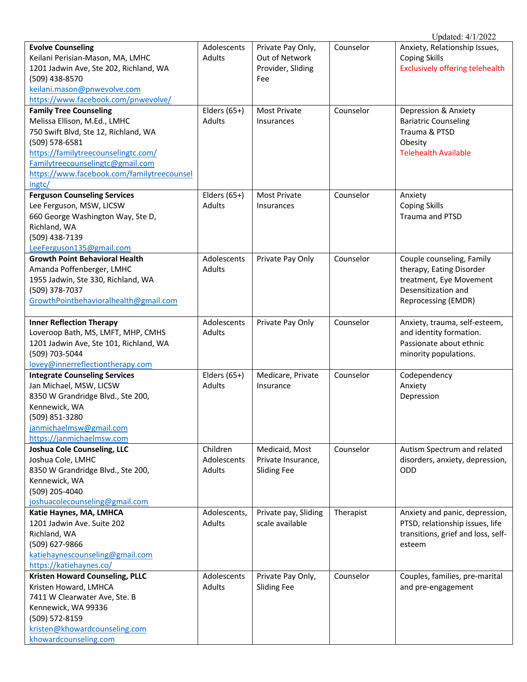|                                                                 |                       |                                         |           | Updated: 4/1/2022                                    |
|-----------------------------------------------------------------|-----------------------|-----------------------------------------|-----------|------------------------------------------------------|
| <b>Evolve Counseling</b>                                        | Adolescents           | Private Pay Only,                       | Counselor | Anxiety, Relationship Issues,                        |
| Keilani Perisian-Mason, MA, LMHC                                | Adults                | Out of Network                          |           | <b>Coping Skills</b>                                 |
| 1201 Jadwin Ave, Ste 202, Richland, WA                          |                       | Provider, Sliding                       |           | <b>Exclusively offering telehealth</b>               |
| (509) 438-8570                                                  |                       | Fee                                     |           |                                                      |
| keilani.mason@pnwevolve.com                                     |                       |                                         |           |                                                      |
| https://www.facebook.com/pnwevolve/                             |                       |                                         |           |                                                      |
| <b>Family Tree Counseling</b>                                   | Elders $(65+)$        | Most Private                            | Counselor | Depression & Anxiety                                 |
| Melissa Ellison, M.Ed., LMHC                                    | Adults                | Insurances                              |           | <b>Bariatric Counseling</b>                          |
| 750 Swift Blvd, Ste 12, Richland, WA                            |                       |                                         |           | Trauma & PTSD                                        |
| (509) 578-6581                                                  |                       |                                         |           | Obesity                                              |
| https://familytreecounselingtc.com/                             |                       |                                         |           | <b>Telehealth Available</b>                          |
| Familytreecounselingtc@gmail.com                                |                       |                                         |           |                                                      |
| https://www.facebook.com/familytreecounsel                      |                       |                                         |           |                                                      |
| ingtc/                                                          |                       |                                         |           |                                                      |
| <b>Ferguson Counseling Services</b>                             | Elders $(65+)$        | Most Private                            | Counselor | Anxiety                                              |
| Lee Ferguson, MSW, LICSW                                        | Adults                | Insurances                              |           | <b>Coping Skills</b>                                 |
| 660 George Washington Way, Ste D,                               |                       |                                         |           | Trauma and PTSD                                      |
| Richland, WA                                                    |                       |                                         |           |                                                      |
| (509) 438-7139                                                  |                       |                                         |           |                                                      |
| LeeFerguson135@gmail.com                                        |                       |                                         |           |                                                      |
| <b>Growth Point Behavioral Health</b>                           | Adolescents           | Private Pay Only                        | Counselor | Couple counseling, Family                            |
| Amanda Poffenberger, LMHC                                       | Adults                |                                         |           | therapy, Eating Disorder                             |
| 1955 Jadwin, Ste 330, Richland, WA                              |                       |                                         |           | treatment, Eye Movement                              |
| (509) 378-7037                                                  |                       |                                         |           | Desensitization and                                  |
| GrowthPointbehavioralhealth@gmail.com                           |                       |                                         |           | Reprocessing (EMDR)                                  |
| <b>Inner Reflection Therapy</b>                                 | Adolescents           | Private Pay Only                        | Counselor | Anxiety, trauma, self-esteem,                        |
| Loveroop Bath, MS, LMFT, MHP, CMHS                              | Adults                |                                         |           | and identity formation.                              |
| 1201 Jadwin Ave, Ste 101, Richland, WA                          |                       |                                         |           | Passionate about ethnic                              |
| (509) 703-5044                                                  |                       |                                         |           | minority populations.                                |
| lovey@innerreflectiontherapy.com                                |                       |                                         |           |                                                      |
| <b>Integrate Counseling Services</b>                            | Elders (65+)          | Medicare, Private                       | Counselor | Codependency                                         |
| Jan Michael, MSW, LICSW                                         | Adults                | Insurance                               |           | Anxiety                                              |
| 8350 W Grandridge Blvd., Ste 200,                               |                       |                                         |           | Depression                                           |
| Kennewick, WA                                                   |                       |                                         |           |                                                      |
| (509) 851-3280                                                  |                       |                                         |           |                                                      |
| janmichaelmsw@gmail.com                                         |                       |                                         |           |                                                      |
| https://janmichaelmsw.com                                       |                       |                                         |           |                                                      |
| <b>Joshua Cole Counseling, LLC</b>                              | Children              | Medicaid, Most                          | Counselor | Autism Spectrum and related                          |
| Joshua Cole, LMHC                                               | Adolescents           | Private Insurance,                      |           | disorders, anxiety, depression,                      |
| 8350 W Grandridge Blvd., Ste 200,                               | Adults                | <b>Sliding Fee</b>                      |           | <b>ODD</b>                                           |
| Kennewick, WA                                                   |                       |                                         |           |                                                      |
| (509) 205-4040                                                  |                       |                                         |           |                                                      |
| joshuacolecounseling@gmail.com                                  |                       |                                         |           |                                                      |
| Katie Haynes, MA, LMHCA                                         | Adolescents,          | Private pay, Sliding                    | Therapist | Anxiety and panic, depression,                       |
| 1201 Jadwin Ave. Suite 202                                      | Adults                | scale available                         |           | PTSD, relationship issues, life                      |
| Richland, WA                                                    |                       |                                         |           | transitions, grief and loss, self-                   |
| (509) 627-9866                                                  |                       |                                         |           | esteem                                               |
| katiehaynescounseling@gmail.com                                 |                       |                                         |           |                                                      |
| https://katiehaynes.co/                                         |                       |                                         | Counselor |                                                      |
| <b>Kristen Howard Counseling, PLLC</b><br>Kristen Howard, LMHCA | Adolescents<br>Adults | Private Pay Only,<br><b>Sliding Fee</b> |           | Couples, families, pre-marital<br>and pre-engagement |
| 7411 W Clearwater Ave, Ste. B                                   |                       |                                         |           |                                                      |
| Kennewick, WA 99336                                             |                       |                                         |           |                                                      |
| (509) 572-8159                                                  |                       |                                         |           |                                                      |
| kristen@khowardcounseling.com                                   |                       |                                         |           |                                                      |
| khowardcounseling.com                                           |                       |                                         |           |                                                      |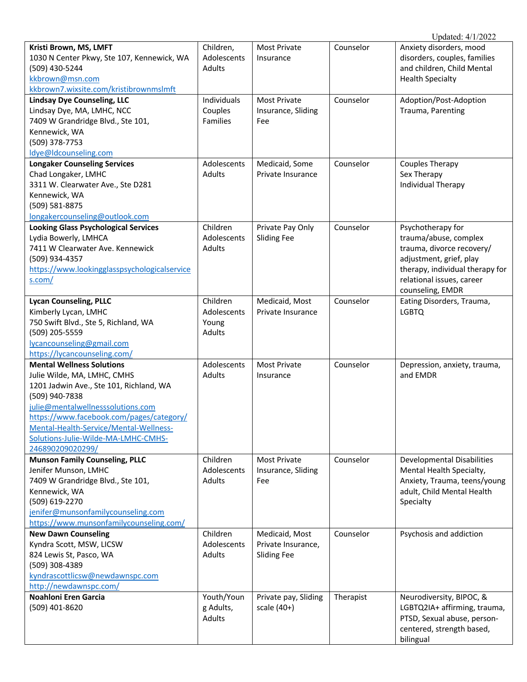| Kristi Brown, MS, LMFT                       | Children,     | <b>Most Private</b>  | Counselor | Anxiety disorders, mood           |
|----------------------------------------------|---------------|----------------------|-----------|-----------------------------------|
| 1030 N Center Pkwy, Ste 107, Kennewick, WA   | Adolescents   | Insurance            |           | disorders, couples, families      |
| (509) 430-5244                               | Adults        |                      |           | and children, Child Mental        |
| kkbrown@msn.com                              |               |                      |           | <b>Health Specialty</b>           |
| kkbrown7.wixsite.com/kristibrownmslmft       |               |                      |           |                                   |
| <b>Lindsay Dye Counseling, LLC</b>           | Individuals   | <b>Most Private</b>  | Counselor | Adoption/Post-Adoption            |
| Lindsay Dye, MA, LMHC, NCC                   | Couples       | Insurance, Sliding   |           | Trauma, Parenting                 |
| 7409 W Grandridge Blvd., Ste 101,            | Families      | Fee                  |           |                                   |
| Kennewick, WA                                |               |                      |           |                                   |
| (509) 378-7753                               |               |                      |           |                                   |
| ldye@ldcounseling.com                        |               |                      |           |                                   |
| <b>Longaker Counseling Services</b>          | Adolescents   | Medicaid, Some       | Counselor | Couples Therapy                   |
| Chad Longaker, LMHC                          | Adults        | Private Insurance    |           | Sex Therapy                       |
| 3311 W. Clearwater Ave., Ste D281            |               |                      |           | <b>Individual Therapy</b>         |
| Kennewick, WA                                |               |                      |           |                                   |
| (509) 581-8875                               |               |                      |           |                                   |
| longakercounseling@outlook.com               |               |                      |           |                                   |
| <b>Looking Glass Psychological Services</b>  | Children      | Private Pay Only     | Counselor | Psychotherapy for                 |
| Lydia Bowerly, LMHCA                         | Adolescents   | <b>Sliding Fee</b>   |           | trauma/abuse, complex             |
| 7411 W Clearwater Ave. Kennewick             | Adults        |                      |           | trauma, divorce recovery/         |
| (509) 934-4357                               |               |                      |           | adjustment, grief, play           |
| https://www.lookingglasspsychologicalservice |               |                      |           | therapy, individual therapy for   |
| s.com/                                       |               |                      |           | relational issues, career         |
|                                              |               |                      |           | counseling, EMDR                  |
| <b>Lycan Counseling, PLLC</b>                | Children      | Medicaid, Most       | Counselor | Eating Disorders, Trauma,         |
| Kimberly Lycan, LMHC                         | Adolescents   | Private Insurance    |           | <b>LGBTQ</b>                      |
| 750 Swift Blvd., Ste 5, Richland, WA         | Young         |                      |           |                                   |
| (509) 205-5559<br>lycancounseling@gmail.com  | Adults        |                      |           |                                   |
| https://lycancounseling.com/                 |               |                      |           |                                   |
| <b>Mental Wellness Solutions</b>             | Adolescents   | <b>Most Private</b>  | Counselor | Depression, anxiety, trauma,      |
| Julie Wilde, MA, LMHC, CMHS                  | <b>Adults</b> | Insurance            |           | and EMDR                          |
| 1201 Jadwin Ave., Ste 101, Richland, WA      |               |                      |           |                                   |
| (509) 940-7838                               |               |                      |           |                                   |
| julie@mentalwellnesssolutions.com            |               |                      |           |                                   |
| https://www.facebook.com/pages/category/     |               |                      |           |                                   |
| Mental-Health-Service/Mental-Wellness-       |               |                      |           |                                   |
| Solutions-Julie-Wilde-MA-LMHC-CMHS-          |               |                      |           |                                   |
| 246890209020299/                             |               |                      |           |                                   |
| <b>Munson Family Counseling, PLLC</b>        | Children      | Most Private         | Counselor | <b>Developmental Disabilities</b> |
| Jenifer Munson, LMHC                         | Adolescents   | Insurance, Sliding   |           | Mental Health Specialty,          |
| 7409 W Grandridge Blvd., Ste 101,            | Adults        | Fee                  |           | Anxiety, Trauma, teens/young      |
| Kennewick, WA                                |               |                      |           | adult, Child Mental Health        |
| (509) 619-2270                               |               |                      |           | Specialty                         |
| jenifer@munsonfamilycounseling.com           |               |                      |           |                                   |
| https://www.munsonfamilycounseling.com/      |               |                      |           |                                   |
| <b>New Dawn Counseling</b>                   | Children      | Medicaid, Most       | Counselor | Psychosis and addiction           |
| Kyndra Scott, MSW, LICSW                     | Adolescents   | Private Insurance,   |           |                                   |
| 824 Lewis St, Pasco, WA                      | Adults        | <b>Sliding Fee</b>   |           |                                   |
| (509) 308-4389                               |               |                      |           |                                   |
| kyndrascottlicsw@newdawnspc.com              |               |                      |           |                                   |
| http://newdawnspc.com/                       |               |                      |           |                                   |
| Noahloni Eren Garcia                         | Youth/Youn    | Private pay, Sliding | Therapist | Neurodiversity, BIPOC, &          |
| (509) 401-8620                               | g Adults,     | scale $(40+)$        |           | LGBTQ2IA+ affirming, trauma,      |
|                                              | Adults        |                      |           | PTSD, Sexual abuse, person-       |
|                                              |               |                      |           | centered, strength based,         |
|                                              |               |                      |           | bilingual                         |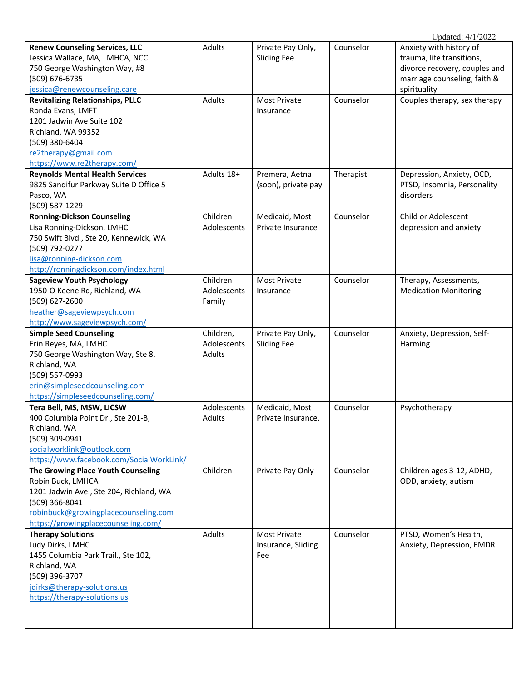| <b>Renew Counseling Services, LLC</b>    | Adults      | Private Pay Only,   | Counselor | Anxiety with history of                           |
|------------------------------------------|-------------|---------------------|-----------|---------------------------------------------------|
| Jessica Wallace, MA, LMHCA, NCC          |             | <b>Sliding Fee</b>  |           | trauma, life transitions,                         |
| 750 George Washington Way, #8            |             |                     |           | divorce recovery, couples and                     |
| (509) 676-6735                           |             |                     |           | marriage counseling, faith &                      |
| jessica@renewcounseling.care             |             |                     |           | spirituality                                      |
| <b>Revitalizing Relationships, PLLC</b>  | Adults      | <b>Most Private</b> | Counselor | Couples therapy, sex therapy                      |
| Ronda Evans, LMFT                        |             | Insurance           |           |                                                   |
| 1201 Jadwin Ave Suite 102                |             |                     |           |                                                   |
| Richland, WA 99352                       |             |                     |           |                                                   |
| (509) 380-6404                           |             |                     |           |                                                   |
| re2therapy@gmail.com                     |             |                     |           |                                                   |
| https://www.re2therapy.com/              |             |                     |           |                                                   |
| <b>Reynolds Mental Health Services</b>   | Adults 18+  |                     |           |                                                   |
|                                          |             | Premera, Aetna      | Therapist | Depression, Anxiety, OCD,                         |
| 9825 Sandifur Parkway Suite D Office 5   |             | (soon), private pay |           | PTSD, Insomnia, Personality                       |
| Pasco, WA                                |             |                     |           | disorders                                         |
| (509) 587-1229                           |             |                     |           |                                                   |
| <b>Ronning-Dickson Counseling</b>        | Children    | Medicaid, Most      | Counselor | Child or Adolescent                               |
| Lisa Ronning-Dickson, LMHC               | Adolescents | Private Insurance   |           | depression and anxiety                            |
| 750 Swift Blvd., Ste 20, Kennewick, WA   |             |                     |           |                                                   |
| (509) 792-0277                           |             |                     |           |                                                   |
| lisa@ronning-dickson.com                 |             |                     |           |                                                   |
| http://ronningdickson.com/index.html     |             |                     |           |                                                   |
| <b>Sageview Youth Psychology</b>         | Children    | <b>Most Private</b> | Counselor | Therapy, Assessments,                             |
| 1950-O Keene Rd, Richland, WA            | Adolescents | Insurance           |           | <b>Medication Monitoring</b>                      |
| (509) 627-2600                           | Family      |                     |           |                                                   |
| heather@sageviewpsych.com                |             |                     |           |                                                   |
| http://www.sageviewpsych.com/            |             |                     |           |                                                   |
| <b>Simple Seed Counseling</b>            | Children,   | Private Pay Only,   | Counselor | Anxiety, Depression, Self-                        |
| Erin Reyes, MA, LMHC                     | Adolescents | <b>Sliding Fee</b>  |           | Harming                                           |
| 750 George Washington Way, Ste 8,        | Adults      |                     |           |                                                   |
| Richland, WA                             |             |                     |           |                                                   |
| (509) 557-0993                           |             |                     |           |                                                   |
| erin@simpleseedcounseling.com            |             |                     |           |                                                   |
| https://simpleseedcounseling.com/        |             |                     |           |                                                   |
| Tera Bell, MS, MSW, LICSW                | Adolescents | Medicaid, Most      | Counselor | Psychotherapy                                     |
| 400 Columbia Point Dr., Ste 201-B,       | Adults      | Private Insurance,  |           |                                                   |
| Richland, WA                             |             |                     |           |                                                   |
| (509) 309-0941                           |             |                     |           |                                                   |
| socialworklink@outlook.com               |             |                     |           |                                                   |
|                                          |             |                     |           |                                                   |
| https://www.facebook.com/SocialWorkLink/ |             |                     |           |                                                   |
| The Growing Place Youth Counseling       | Children    | Private Pay Only    | Counselor | Children ages 3-12, ADHD,<br>ODD, anxiety, autism |
| Robin Buck, LMHCA                        |             |                     |           |                                                   |
| 1201 Jadwin Ave., Ste 204, Richland, WA  |             |                     |           |                                                   |
| (509) 366-8041                           |             |                     |           |                                                   |
| robinbuck@growingplacecounseling.com     |             |                     |           |                                                   |
| https://growingplacecounseling.com/      |             |                     |           |                                                   |
| <b>Therapy Solutions</b>                 | Adults      | <b>Most Private</b> | Counselor | PTSD, Women's Health,                             |
| Judy Dirks, LMHC                         |             | Insurance, Sliding  |           | Anxiety, Depression, EMDR                         |
| 1455 Columbia Park Trail., Ste 102,      |             | Fee                 |           |                                                   |
| Richland, WA                             |             |                     |           |                                                   |
| (509) 396-3707                           |             |                     |           |                                                   |
| jdirks@therapy-solutions.us              |             |                     |           |                                                   |
| https://therapy-solutions.us             |             |                     |           |                                                   |
|                                          |             |                     |           |                                                   |
|                                          |             |                     |           |                                                   |